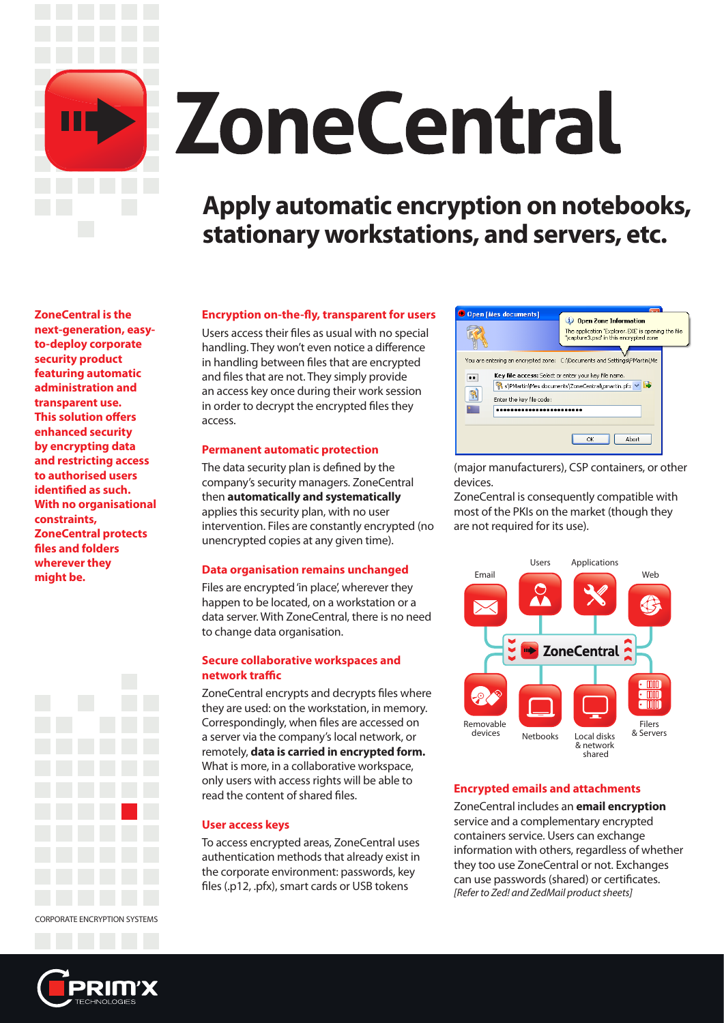

# **ZoneCentral**

## **Apply automatic encryption on notebooks, stationary workstations, and servers, etc.**

**ZoneCentral is the next-generation, easyto-deploy corporate security product featuring automatic administration and transparent use. This solution offers enhanced security by encrypting data and restricting access to authorised users identified as such. With no organisational constraints, ZoneCentral protects files and folders wherever they might be.**



CORPORATE ENCRYPTION SYSTEMS

#### **Encryption on-the-fly, transparent for users**

Users access their files as usual with no special handling. They won't even notice a difference in handling between files that are encrypted and files that are not. They simply provide an access key once during their work session in order to decrypt the encrypted files they access.

#### **Permanent automatic protection**

The data security plan is defined by the company's security managers. ZoneCentral then **automatically and systematically** applies this security plan, with no user intervention. Files are constantly encrypted (no unencrypted copies at any given time).

#### **Data organisation remains unchanged**

Files are encrypted 'in place', wherever they happen to be located, on a workstation or a data server. With ZoneCentral, there is no need to change data organisation.

#### **Secure collaborative workspaces and network traffic**

ZoneCentral encrypts and decrypts files where they are used: on the workstation, in memory. Correspondingly, when files are accessed on a server via the company's local network, or remotely, **data is carried in encrypted form.** What is more, in a collaborative workspace, only users with access rights will be able to read the content of shared files.

#### **User access keys**

To access encrypted areas, ZoneCentral uses authentication methods that already exist in the corporate environment: passwords, key files (.p12, .pfx), smart cards or USB tokens



(major manufacturers), CSP containers, or other devices.

ZoneCentral is consequently compatible with most of the PKIs on the market (though they are not required for its use).



#### **Encrypted emails and attachments**

ZoneCentral includes an **email encryption** service and a complementary encrypted containers service. Users can exchange information with others, regardless of whether they too use ZoneCentral or not. Exchanges can use passwords (shared) or certificates. *[Refer to Zed! and ZedMail product sheets]*